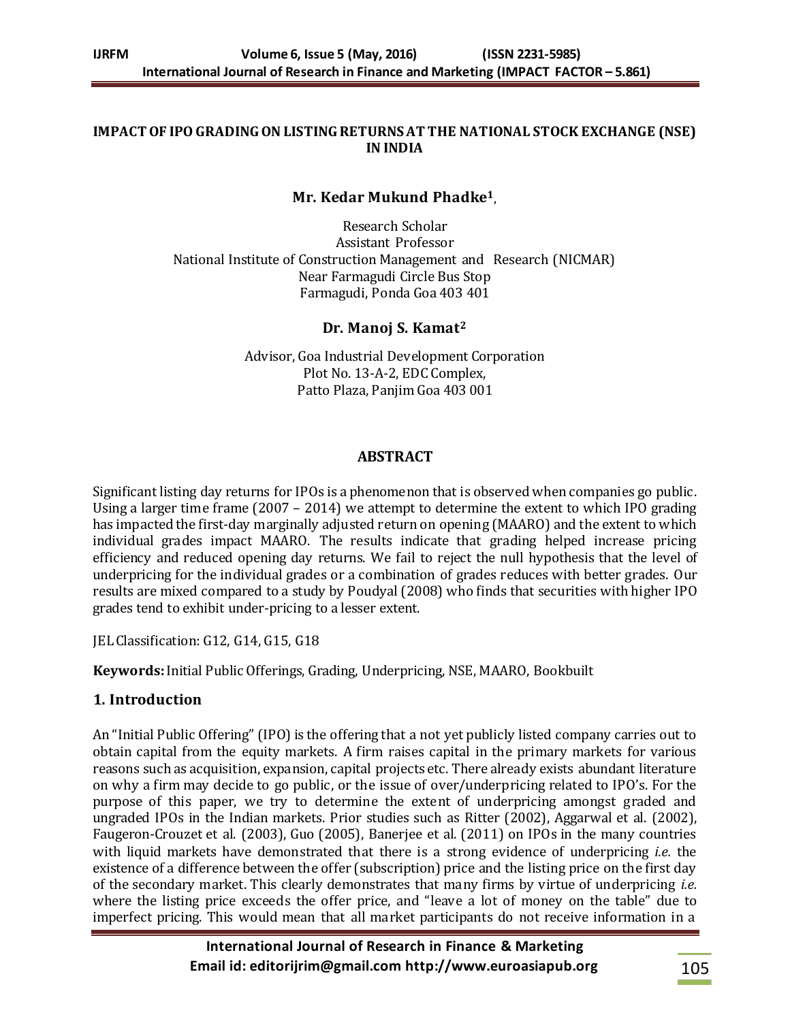#### **IMPACT OF IPO GRADING ON LISTING RETURNS AT THE NATIONAL STOCK EXCHANGE (NSE) IN INDIA**

### **Mr. Kedar Mukund Phadke<sup>1</sup> ,**

Research Scholar Assistant Professor National Institute of Construction Management and Research (NICMAR) Near Farmagudi Circle Bus Stop Farmagudi, Ponda Goa 403 401

#### **Dr. Manoj S. Kamat<sup>2</sup>**

Advisor, Goa Industrial Development Corporation Plot No. 13-A-2, EDC Complex, Patto Plaza, Panjim Goa 403 001

#### **ABSTRACT**

Significant listing day returns for IPOs is a phenomenon that is observed when companies go public. Using a larger time frame (2007 – 2014) we attempt to determine the extent to which IPO grading has impacted the first-day marginally adjusted return on opening (MAARO) and the extent to which individual grades impact MAARO. The results indicate that grading helped increase pricing efficiency and reduced opening day returns. We fail to reject the null hypothesis that the level of underpricing for the individual grades or a combination of grades reduces with better grades. Our results are mixed compared to a study by Poudyal (2008) who finds that securities with higher IPO grades tend to exhibit under-pricing to a lesser extent.

JEL Classification: G12, G14, G15, G18

**Keywords:**Initial Public Offerings, Grading, Underpricing, NSE, MAARO, Bookbuilt

### **1. Introduction**

An "Initial Public Offering" (IPO) is the offering that a not yet publicly listed company carries out to obtain capital from the equity markets. A firm raises capital in the primary markets for various reasons such as acquisition, expansion, capital projects etc. There already exists abundant literature on why a firm may decide to go public, or the issue of over/underpricing related to IPO's. For the purpose of this paper, we try to determine the extent of underpricing amongst graded and ungraded IPOs in the Indian markets. Prior studies such as Ritter (2002), Aggarwal et al. (2002), Faugeron-Crouzet et al. (2003), Guo (2005), Banerjee et al. (2011) on IPOs in the many countries with liquid markets have demonstrated that there is a strong evidence of underpricing *i.e.* the existence of a difference between the offer (subscription) price and the listing price on the first day of the secondary market. This clearly demonstrates that many firms by virtue of underpricing *i.e.*  where the listing price exceeds the offer price, and "leave a lot of money on the table" due to imperfect pricing. This would mean that all market participants do not receive information in a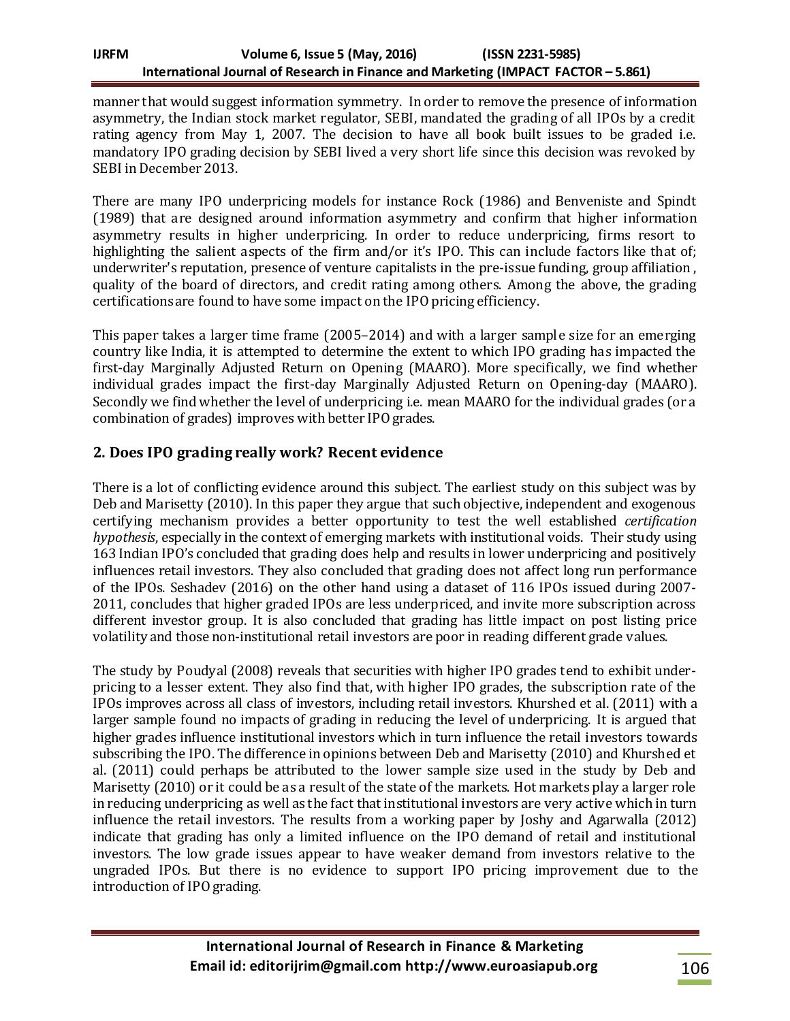#### **IJRFM Volume 6, Issue 5 (May, 2016) (ISSN 2231-5985) International Journal of Research in Finance and Marketing (IMPACT FACTOR – 5.861)**

manner that would suggest information symmetry. In order to remove the presence of information asymmetry, the Indian stock market regulator, SEBI, mandated the grading of all IPOs by a credit rating agency from May 1, 2007. The decision to have all book built issues to be graded i.e. mandatory IPO grading decision by SEBI lived a very short life since this decision was revoked by SEBI in December 2013.

There are many IPO underpricing models for instance Rock (1986) and Benveniste and Spindt (1989) that are designed around information asymmetry and confirm that higher information asymmetry results in higher underpricing. In order to reduce underpricing, firms resort to highlighting the salient aspects of the firm and/or it's IPO. This can include factors like that of: underwriter's reputation, presence of venture capitalists in the pre-issue funding, group affiliation , quality of the board of directors, and credit rating among others. Among the above, the grading certificationsare found to have some impact on the IPO pricing efficiency.

This paper takes a larger time frame (2005–2014) and with a larger sample size for an emerging country like India, it is attempted to determine the extent to which IPO grading has impacted the first-day Marginally Adjusted Return on Opening (MAARO). More specifically, we find whether individual grades impact the first-day Marginally Adjusted Return on Opening-day (MAARO). Secondly we find whether the level of underpricing i.e. mean MAARO for the individual grades (or a combination of grades) improves with better IPO grades.

## **2. Does IPO grading really work? Recent evidence**

There is a lot of conflicting evidence around this subject. The earliest study on this subject was by Deb and Marisetty (2010). In this paper they argue that such objective, independent and exogenous certifying mechanism provides a better opportunity to test the well established *certification hypothesis*, especially in the context of emerging markets with institutional voids. Their study using 163 Indian IPO's concluded that grading does help and results in lower underpricing and positively influences retail investors. They also concluded that grading does not affect long run performance of the IPOs. Seshadev (2016) on the other hand using a dataset of 116 IPOs issued during 2007- 2011, concludes that higher graded IPOs are less underpriced, and invite more subscription across different investor group. It is also concluded that grading has little impact on post listing price volatility and those non-institutional retail investors are poor in reading different grade values.

The study by Poudyal (2008) reveals that securities with higher IPO grades tend to exhibit underpricing to a lesser extent. They also find that, with higher IPO grades, the subscription rate of the IPOs improves across all class of investors, including retail investors. Khurshed et al. (2011) with a larger sample found no impacts of grading in reducing the level of underpricing. It is argued that higher grades influence institutional investors which in turn influence the retail investors towards subscribing the IPO. The difference in opinions between Deb and Marisetty (2010) and Khurshed et al. (2011) could perhaps be attributed to the lower sample size used in the study by Deb and Marisetty (2010) or it could be as a result of the state of the markets. Hot markets play a larger role in reducing underpricing as well as the fact that institutional investors are very active which in turn influence the retail investors. The results from a working paper by Joshy and Agarwalla (2012) indicate that grading has only a limited influence on the IPO demand of retail and institutional investors. The low grade issues appear to have weaker demand from investors relative to the ungraded IPOs. But there is no evidence to support IPO pricing improvement due to the introduction of IPO grading.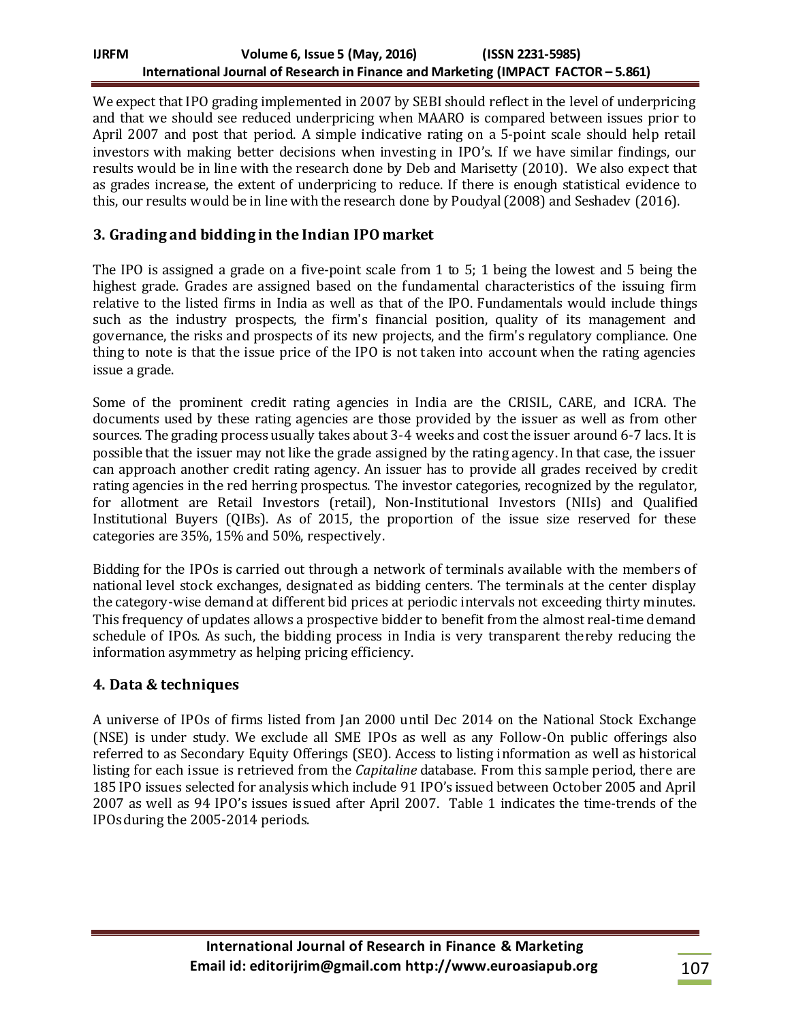### **IJRFM Volume 6, Issue 5 (May, 2016) (ISSN 2231-5985) International Journal of Research in Finance and Marketing (IMPACT FACTOR – 5.861)**

We expect that IPO grading implemented in 2007 by SEBI should reflect in the level of underpricing and that we should see reduced underpricing when MAARO is compared between issues prior to April 2007 and post that period. A simple indicative rating on a 5-point scale should help retail investors with making better decisions when investing in IPO's. If we have similar findings, our results would be in line with the research done by Deb and Marisetty (2010). We also expect that as grades increase, the extent of underpricing to reduce. If there is enough statistical evidence to this, our results would be in line with the research done by Poudyal (2008) and Seshadev (2016).

## **3. Grading and bidding in the Indian IPO market**

The IPO is assigned a grade on a five-point scale from 1 to 5; 1 being the lowest and 5 being the highest grade. Grades are assigned based on the fundamental characteristics of the issuing firm relative to the listed firms in India as well as that of the IPO. Fundamentals would include things such as the industry prospects, the firm's financial position, quality of its management and governance, the risks and prospects of its new projects, and the firm's regulatory compliance. One thing to note is that the issue price of the IPO is not taken into account when the rating agencies issue a grade.

Some of the prominent credit rating agencies in India are the CRISIL, CARE, and ICRA. The documents used by these rating agencies are those provided by the issuer as well as from other sources. The grading process usually takes about 3-4 weeks and cost the issuer around 6-7 lacs. It is possible that the issuer may not like the grade assigned by the rating agency. In that case, the issuer can approach another credit rating agency. An issuer has to provide all grades received by credit rating agencies in the red herring prospectus. The investor categories, recognized by the regulator, for allotment are Retail Investors (retail), Non-Institutional Investors (NIIs) and Qualified Institutional Buyers (QIBs). As of 2015, the proportion of the issue size reserved for these categories are 35%, 15% and 50%, respectively.

Bidding for the IPOs is carried out through a network of terminals available with the members of national level stock exchanges, designated as bidding centers. The terminals at the center display the category-wise demand at different bid prices at periodic intervals not exceeding thirty minutes. This frequency of updates allows a prospective bidder to benefit from the almost real-time demand schedule of IPOs. As such, the bidding process in India is very transparent thereby reducing the information asymmetry as helping pricing efficiency.

### **4. Data & techniques**

A universe of IPOs of firms listed from Jan 2000 until Dec 2014 on the National Stock Exchange (NSE) is under study. We exclude all SME IPOs as well as any Follow-On public offerings also referred to as Secondary Equity Offerings (SEO). Access to listing information as well as historical listing for each issue is retrieved from the *Capitaline* database. From this sample period, there are 185 IPO issues selected for analysis which include 91 IPO's issued between October 2005 and April 2007 as well as 94 IPO's issues issued after April 2007. Table 1 indicates the time-trends of the IPOs during the 2005-2014 periods.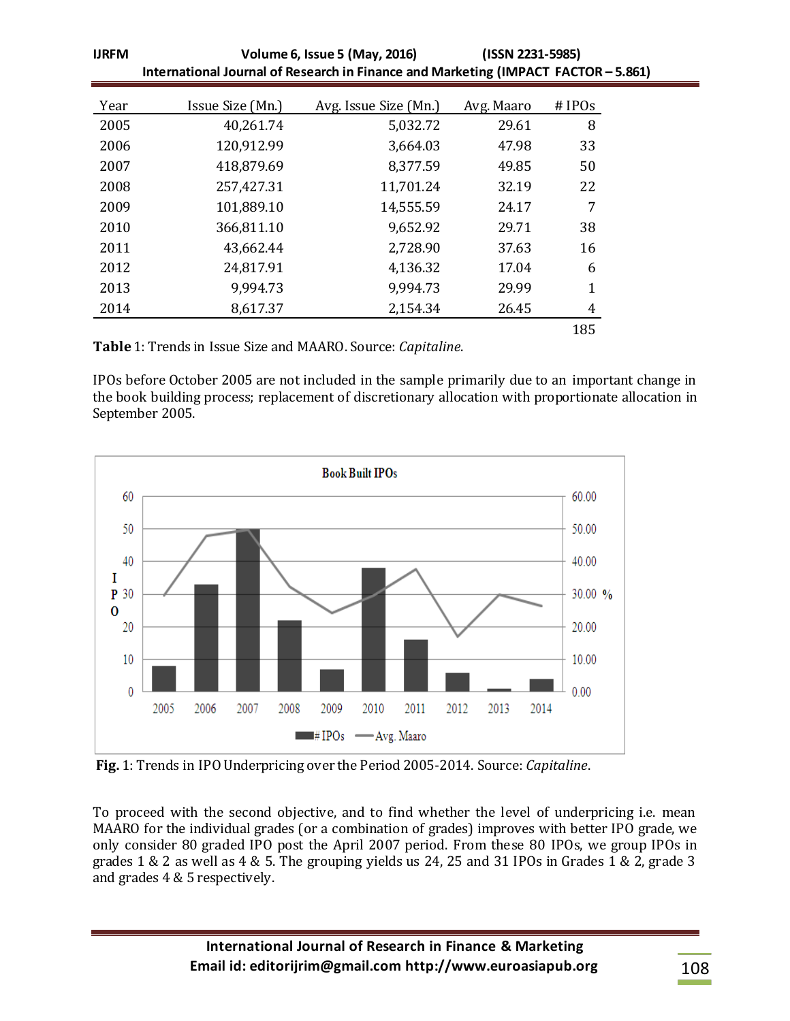| <b>IJRFM</b> | Volume 6, Issue 5 (May, 2016)                                                      | (ISSN 2231-5985)      |            |          |
|--------------|------------------------------------------------------------------------------------|-----------------------|------------|----------|
|              | International Journal of Research in Finance and Marketing (IMPACT FACTOR - 5.861) |                       |            |          |
| Year         | Issue Size (Mn.)                                                                   | Avg. Issue Size (Mn.) | Avg. Maaro | $#$ IPOs |
| 2005         | 40,261.74                                                                          | 5,032.72              | 29.61      | 8        |
| 2006         | 120,912.99                                                                         | 3,664.03              | 47.98      | 33       |
| 2007         | 418,879.69                                                                         | 8,377.59              | 49.85      | 50       |
| 2008         | 257,427.31                                                                         | 11,701.24             | 32.19      | 22       |
| 2009         | 101,889.10                                                                         | 14,555.59             | 24.17      | 7        |
| 2010         | 366,811.10                                                                         | 9,652.92              | 29.71      | 38       |
| 2011         | 43,662.44                                                                          | 2,728.90              | 37.63      | 16       |
| 2012         | 24,817.91                                                                          | 4,136.32              | 17.04      | 6        |
| 2013         | 9,994.73                                                                           | 9,994.73              | 29.99      | 1        |
| 2014         | 8,617.37                                                                           | 2,154.34              | 26.45      | 4        |
|              |                                                                                    |                       |            | 185      |

**Table** 1: Trends in Issue Size and MAARO. Source: *Capitaline*.

IPOs before October 2005 are not included in the sample primarily due to an important change in the book building process; replacement of discretionary allocation with proportionate allocation in September 2005.



**Fig.** 1: Trends in IPO Underpricing over the Period 2005-2014. Source: *Capitaline*.

To proceed with the second objective, and to find whether the level of underpricing i.e. mean MAARO for the individual grades (or a combination of grades) improves with better IPO grade, we only consider 80 graded IPO post the April 2007 period. From these 80 IPOs, we group IPOs in grades 1 & 2 as well as 4 & 5. The grouping yields us 24, 25 and 31 IPOs in Grades 1 & 2, grade 3 and grades 4 & 5 respectively.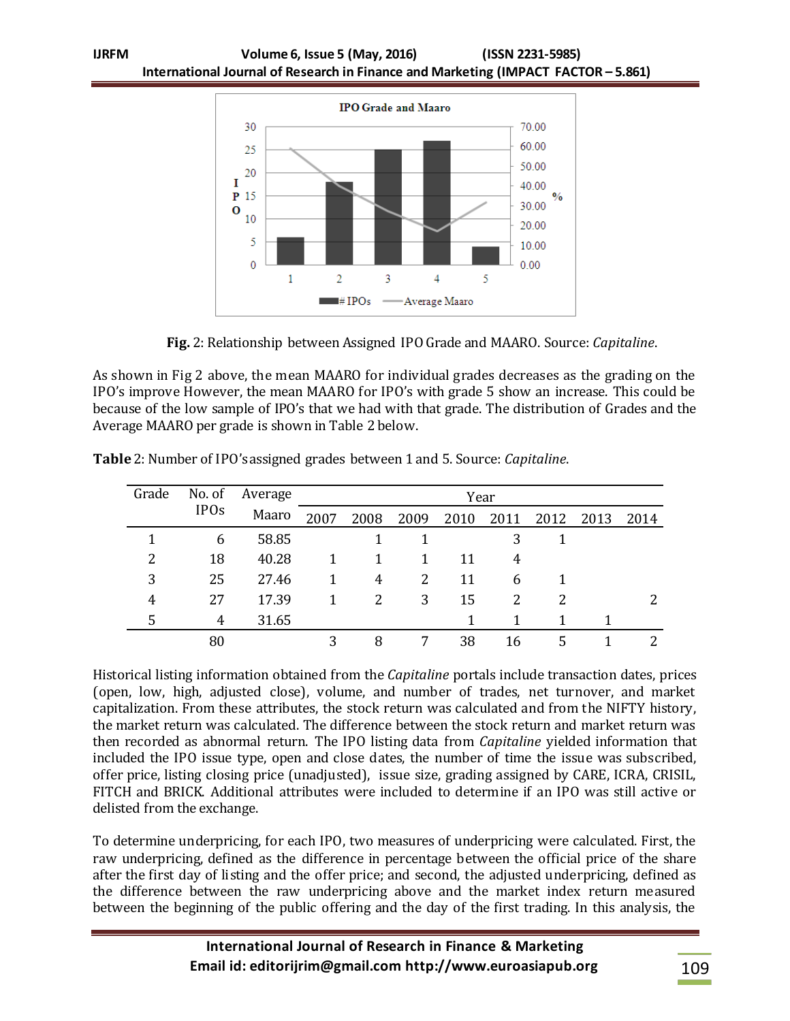

**Fig.** 2: Relationship between Assigned IPO Grade and MAARO. Source: *Capitaline*.

As shown in Fig 2 above, the mean MAARO for individual grades decreases as the grading on the IPO's improve However, the mean MAARO for IPO's with grade 5 show an increase. This could be because of the low sample of IPO's that we had with that grade. The distribution of Grades and the Average MAARO per grade is shown in Table 2 below.

| Grade | No. of      | Average | Year |      |      |      |      |      |      |      |
|-------|-------------|---------|------|------|------|------|------|------|------|------|
|       | <b>IPOs</b> | Maaro   | 2007 | 2008 | 2009 | 2010 | 2011 | 2012 | 2013 | 2014 |
|       | 6           | 58.85   |      |      |      |      | 3    |      |      |      |
| 2     | 18          | 40.28   | 1    |      |      | 11   | 4    |      |      |      |
| 3     | 25          | 27.46   | 1    | 4    | 2    | 11   | 6    |      |      |      |
| 4     | 27          | 17.39   | 1    | 2    | 3    | 15   | 2    | 2    |      |      |
| 5     | 4           | 31.65   |      |      |      |      |      |      |      |      |
|       | 80          |         | 3    | 8    |      | 38   | 16   | 5    |      |      |

**Table** 2: Number of IPO's assigned grades between 1 and 5. Source: *Capitaline*.

Historical listing information obtained from the *Capitaline* portals include transaction dates, prices (open, low, high, adjusted close), volume, and number of trades, net turnover, and market capitalization. From these attributes, the stock return was calculated and from the NIFTY history, the market return was calculated. The difference between the stock return and market return was then recorded as abnormal return. The IPO listing data from *Capitaline* yielded information that included the IPO issue type, open and close dates, the number of time the issue was subscribed, offer price, listing closing price (unadjusted), issue size, grading assigned by CARE, ICRA, CRISIL, FITCH and BRICK. Additional attributes were included to determine if an IPO was still active or delisted from the exchange.

To determine underpricing, for each IPO, two measures of underpricing were calculated. First, the raw underpricing, defined as the difference in percentage between the official price of the share after the first day of listing and the offer price; and second, the adjusted underpricing, defined as the difference between the raw underpricing above and the market index return measured between the beginning of the public offering and the day of the first trading. In this analysis, the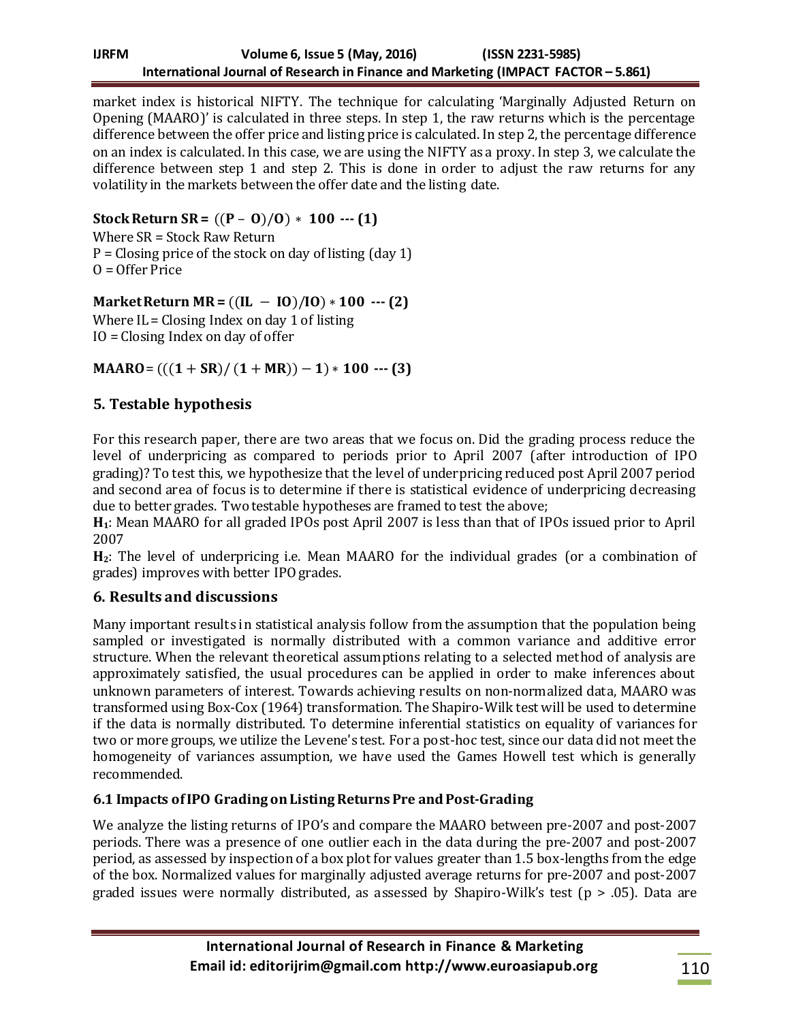market index is historical NIFTY. The technique for calculating 'Marginally Adjusted Return on Opening (MAARO)' is calculated in three steps. In step 1, the raw returns which is the percentage difference between the offer price and listing price is calculated. In step 2, the percentage difference on an index is calculated. In this case, we are using the NIFTY as a proxy. In step 3, we calculate the difference between step 1 and step 2. This is done in order to adjust the raw returns for any volatility in the markets between the offer date and the listing date.

**Stock Return SR =**  $((P - O)/O) * 100$  --- (1)

Where SR = Stock Raw Return  $P = Clo \sin g$  price of the stock on day of listing (day 1)  $0 =$  Offer Price

 $Market Return MR = ((IL - IO)/IO) * 100 -- (2)$ 

Where  $IL = Closing Index on day 1 of listing$ IO = Closing Index on day of offer

**MAARO**=  $(((1 + SR)/(1 + MR)) - 1) * 100$  --- (3)

# **5. Testable hypothesis**

For this research paper, there are two areas that we focus on. Did the grading process reduce the level of underpricing as compared to periods prior to April 2007 (after introduction of IPO grading)? To test this, we hypothesize that the level of underpricing reduced post April 2007 period and second area of focus is to determine if there is statistical evidence of underpricing decreasing due to better grades. Two testable hypotheses are framed to test the above;

**H1**: Mean MAARO for all graded IPOs post April 2007 is less than that of IPOs issued prior to April 2007

**H2**: The level of underpricing i.e. Mean MAARO for the individual grades (or a combination of grades) improves with better IPO grades.

# **6. Results and discussions**

Many important results in statistical analysis follow from the assumption that the population being sampled or investigated is normally distributed with a common variance and additive error structure. When the relevant theoretical assumptions relating to a selected method of analysis are approximately satisfied, the usual procedures can be applied in order to make inferences about unknown parameters of interest. Towards achieving results on non-normalized data, MAARO was transformed using Box-Cox (1964) transformation. The Shapiro-Wilk test will be used to determine if the data is normally distributed. To determine inferential statistics on equality of variances for two or more groups, we utilize the Levene's test. For a post-hoc test, since our data did not meet the homogeneity of variances assumption, we have used the Games Howell test which is generally recommended.

## **6.1 Impacts of IPO Grading on Listing ReturnsPre and Post-Grading**

We analyze the listing returns of IPO's and compare the MAARO between pre-2007 and post-2007 periods. There was a presence of one outlier each in the data during the pre-2007 and post-2007 period, as assessed by inspection of a box plot for values greater than 1.5 box-lengths from the edge of the box. Normalized values for marginally adjusted average returns for pre-2007 and post-2007 graded issues were normally distributed, as assessed by Shapiro-Wilk's test ( $p > .05$ ). Data are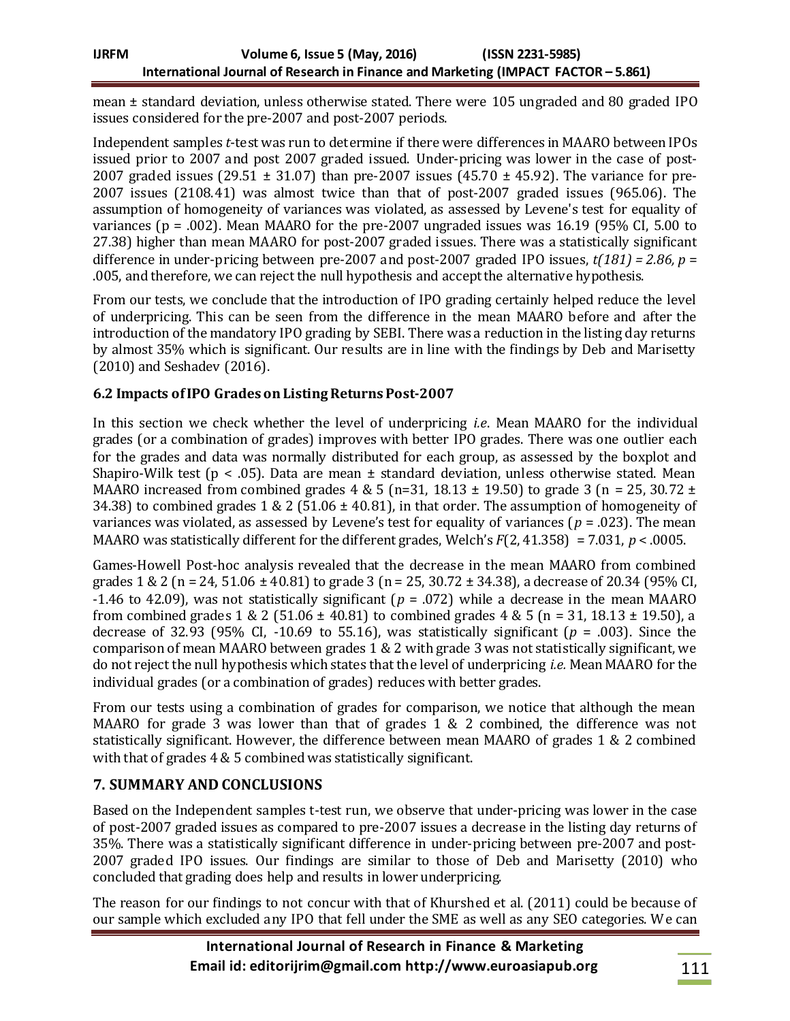mean ± standard deviation, unless otherwise stated. There were 105 ungraded and 80 graded IPO issues considered for the pre-2007 and post-2007 periods.

Independent samples *t*-test was run to determine if there were differences in MAARO between IPOs issued prior to 2007 and post 2007 graded issued. Under-pricing was lower in the case of post-2007 graded issues (29.51  $\pm$  31.07) than pre-2007 issues (45.70  $\pm$  45.92). The variance for pre-2007 issues (2108.41) was almost twice than that of post-2007 graded issues (965.06). The assumption of homogeneity of variances was violated, as assessed by Levene's test for equality of variances ( $p = .002$ ). Mean MAARO for the pre-2007 ungraded issues was 16.19 (95% CI, 5.00 to 27.38) higher than mean MAARO for post-2007 graded issues. There was a statistically significant difference in under-pricing between pre-2007 and post-2007 graded IPO issues,  $t(181) = 2.86$ ,  $p =$ .005, and therefore, we can reject the null hypothesis and accept the alternative hypothesis.

From our tests, we conclude that the introduction of IPO grading certainly helped reduce the level of underpricing. This can be seen from the difference in the mean MAARO before and after the introduction of the mandatory IPO grading by SEBI. There was a reduction in the listing day returns by almost 35% which is significant. Our results are in line with the findings by Deb and Marisetty (2010) and Seshadev (2016).

## **6.2 Impacts of IPO Grades on Listing ReturnsPost-2007**

In this section we check whether the level of underpricing *i.e*. Mean MAARO for the individual grades (or a combination of grades) improves with better IPO grades. There was one outlier each for the grades and data was normally distributed for each group, as assessed by the boxplot and Shapiro-Wilk test ( $p < .05$ ). Data are mean  $\pm$  standard deviation, unless otherwise stated. Mean MAARO increased from combined grades 4 & 5 (n=31, 18.13  $\pm$  19.50) to grade 3 (n = 25, 30.72  $\pm$ 34.38) to combined grades 1 & 2 (51.06  $\pm$  40.81), in that order. The assumption of homogeneity of variances was violated, as assessed by Levene's test for equality of variances (*p* = .023). The mean MAARO was statistically different for the different grades, Welch's *F*(2, 41.358) = 7.031, *p* < .0005.

Games-Howell Post-hoc analysis revealed that the decrease in the mean MAARO from combined grades  $1 \& 2 (n = 24, 51.06 \pm 40.81)$  to grade 3 ( $n = 25, 30.72 \pm 34.38$ ), a decrease of 20.34 (95% CI, -1.46 to 42.09), was not statistically significant (*p* = .072) while a decrease in the mean MAARO from combined grades 1 & 2 (51.06  $\pm$  40.81) to combined grades 4 & 5 (n = 31, 18.13  $\pm$  19.50), a decrease of 32.93 (95% CI, -10.69 to 55.16), was statistically significant ( $p = .003$ ). Since the comparison of mean MAARO between grades 1 & 2 with grade 3 was not statistically significant, we do not reject the null hypothesis which states that the level of underpricing *i.e.* Mean MAARO for the individual grades (or a combination of grades) reduces with better grades.

From our tests using a combination of grades for comparison, we notice that although the mean MAARO for grade 3 was lower than that of grades 1 & 2 combined, the difference was not statistically significant. However, the difference between mean MAARO of grades 1 & 2 combined with that of grades 4 & 5 combined was statistically significant.

# **7. SUMMARY AND CONCLUSIONS**

Based on the Independent samples t-test run, we observe that under-pricing was lower in the case of post-2007 graded issues as compared to pre-2007 issues a decrease in the listing day returns of 35%. There was a statistically significant difference in under-pricing between pre-2007 and post-2007 graded IPO issues. Our findings are similar to those of Deb and Marisetty (2010) who concluded that grading does help and results in lower underpricing.

The reason for our findings to not concur with that of Khurshed et al. (2011) could be because of our sample which excluded any IPO that fell under the SME as well as any SEO categories. We can